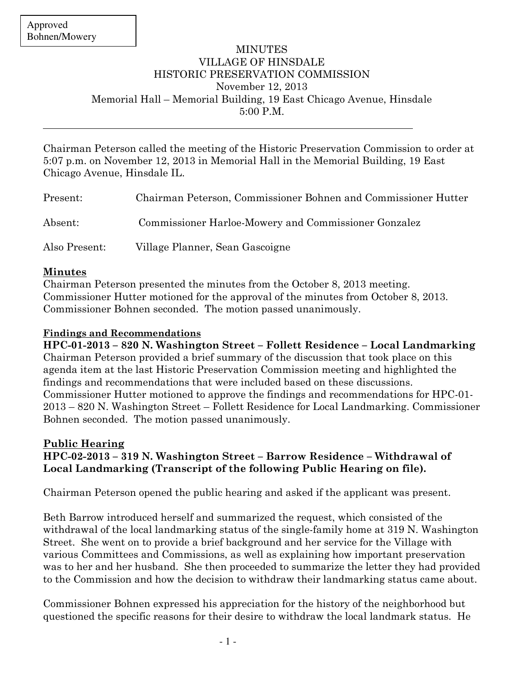$\overline{a}$ 

## MINUTES VILLAGE OF HINSDALE HISTORIC PRESERVATION COMMISSION November 12, 2013 Memorial Hall – Memorial Building, 19 East Chicago Avenue, Hinsdale 5:00 P.M.

Chairman Peterson called the meeting of the Historic Preservation Commission to order at 5:07 p.m. on November 12, 2013 in Memorial Hall in the Memorial Building, 19 East Chicago Avenue, Hinsdale IL.

| Present:      | Chairman Peterson, Commissioner Bohnen and Commissioner Hutter |
|---------------|----------------------------------------------------------------|
| Absent:       | Commissioner Harloe-Mowery and Commissioner Gonzalez           |
| Also Present: | Village Planner, Sean Gascoigne                                |

#### Minutes

Chairman Peterson presented the minutes from the October 8, 2013 meeting. Commissioner Hutter motioned for the approval of the minutes from October 8, 2013. Commissioner Bohnen seconded. The motion passed unanimously.

### Findings and Recommendations

HPC-01-2013 – 820 N. Washington Street – Follett Residence – Local Landmarking Chairman Peterson provided a brief summary of the discussion that took place on this agenda item at the last Historic Preservation Commission meeting and highlighted the findings and recommendations that were included based on these discussions. Commissioner Hutter motioned to approve the findings and recommendations for HPC-01- 2013 – 820 N. Washington Street – Follett Residence for Local Landmarking. Commissioner Bohnen seconded. The motion passed unanimously.

#### Public Hearing HPC-02-2013 – 319 N. Washington Street – Barrow Residence – Withdrawal of Local Landmarking (Transcript of the following Public Hearing on file).

Chairman Peterson opened the public hearing and asked if the applicant was present.

Beth Barrow introduced herself and summarized the request, which consisted of the withdrawal of the local landmarking status of the single-family home at 319 N. Washington Street. She went on to provide a brief background and her service for the Village with various Committees and Commissions, as well as explaining how important preservation was to her and her husband. She then proceeded to summarize the letter they had provided to the Commission and how the decision to withdraw their landmarking status came about.

Commissioner Bohnen expressed his appreciation for the history of the neighborhood but questioned the specific reasons for their desire to withdraw the local landmark status. He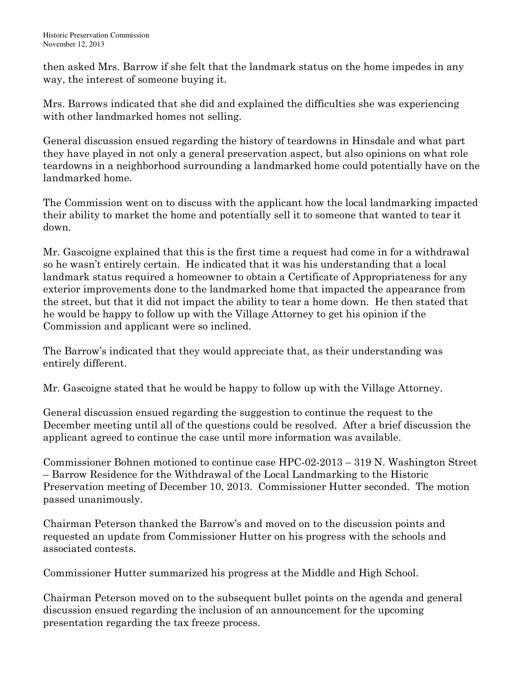then asked Mrs. Barrow if she felt that the landmark status on the home impedes in any way, the interest of someone buying it.

Mrs. Barrows indicated that she did and explained the difficulties she was experiencing with other landmarked homes not selling.

General discussion ensued regarding the history of teardowns in Hinsdale and what part they have played in not only a general preservation aspect, but also opinions on what role teardowns in a neighborhood surrounding a landmarked home could potentially have on the landmarked home.

The Commission went on to discuss with the applicant how the local landmarking impacted their ability to market the home and potentially sell it to someone that wanted to tear it down.

Mr. Gascoigne explained that this is the first time a request had come in for a withdrawal so he wasn't entirely certain. He indicated that it was his understanding that a local landmark status required a homeowner to obtain a Certificate of Appropriateness for any exterior improvements done to the landmarked home that impacted the appearance from the street, but that it did not impact the ability to tear a home down. He then stated that he would be happy to follow up with the Village Attorney to get his opinion if the Commission and applicant were so inclined.

The Barrow's indicated that they would appreciate that, as their understanding was entirely different.

Mr. Gascoigne stated that he would be happy to follow up with the Village Attorney.

General discussion ensued regarding the suggestion to continue the request to the December meeting until all of the questions could be resolved. After a brief discussion the applicant agreed to continue the case until more information was available.

Commissioner Bohnen motioned to continue case HPC-02-2013 – 319 N. Washington Street – Barrow Residence for the Withdrawal of the Local Landmarking to the Historic Preservation meeting of December 10, 2013. Commissioner Hutter seconded. The motion passed unanimously.

Chairman Peterson thanked the Barrow's and moved on to the discussion points and requested an update from Commissioner Hutter on his progress with the schools and associated contests.

Commissioner Hutter summarized his progress at the Middle and High School.

Chairman Peterson moved on to the subsequent bullet points on the agenda and general discussion ensued regarding the inclusion of an announcement for the upcoming presentation regarding the tax freeze process.